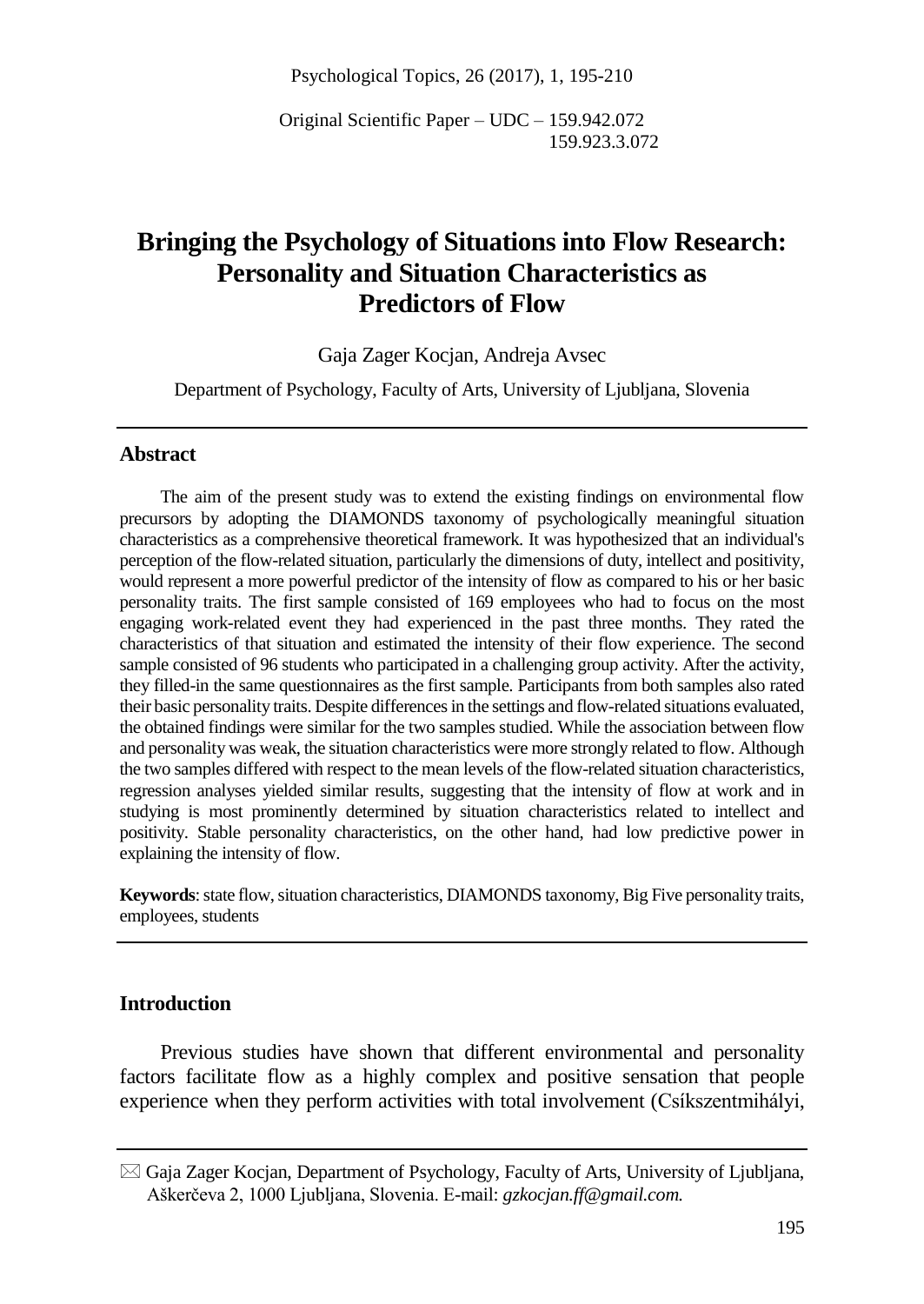Psychological Topics, 26 (2017), 1, 195-210

Original Scientific Paper – UDC – 159.942.072 159.923.3.072

# **Bringing the Psychology of Situations into Flow Research: Personality and Situation Characteristics as Predictors of Flow**

Gaja Zager Kocjan, Andreja Avsec

Department of Psychology, Faculty of Arts, University of Ljubljana, Slovenia

#### **Abstract**

The aim of the present study was to extend the existing findings on environmental flow precursors by adopting the DIAMONDS taxonomy of psychologically meaningful situation characteristics as a comprehensive theoretical framework. It was hypothesized that an individual's perception of the flow-related situation, particularly the dimensions of duty, intellect and positivity, would represent a more powerful predictor of the intensity of flow as compared to his or her basic personality traits. The first sample consisted of 169 employees who had to focus on the most engaging work-related event they had experienced in the past three months. They rated the characteristics of that situation and estimated the intensity of their flow experience. The second sample consisted of 96 students who participated in a challenging group activity. After the activity, they filled-in the same questionnaires as the first sample. Participants from both samples also rated their basic personality traits. Despite differences in the settings and flow-related situations evaluated, the obtained findings were similar for the two samples studied. While the association between flow and personality was weak, the situation characteristics were more strongly related to flow. Although the two samples differed with respect to the mean levels of the flow-related situation characteristics, regression analyses yielded similar results, suggesting that the intensity of flow at work and in studying is most prominently determined by situation characteristics related to intellect and positivity. Stable personality characteristics, on the other hand, had low predictive power in explaining the intensity of flow.

**Keywords**: state flow, situation characteristics, DIAMONDS taxonomy, Big Five personality traits, employees, students

### **Introduction**

Previous studies have shown that different environmental and personality factors facilitate flow as a highly complex and positive sensation that people experience when they perform activities with total involvement (Csíkszentmihályi,

 $\boxtimes$  Gaja Zager Kocjan, Department of Psychology, Faculty of Arts, University of Ljubljana, Aškerčeva 2, 1000 Ljubljana, Slovenia. E-mail: *gzkocjan.ff@gmail.com.*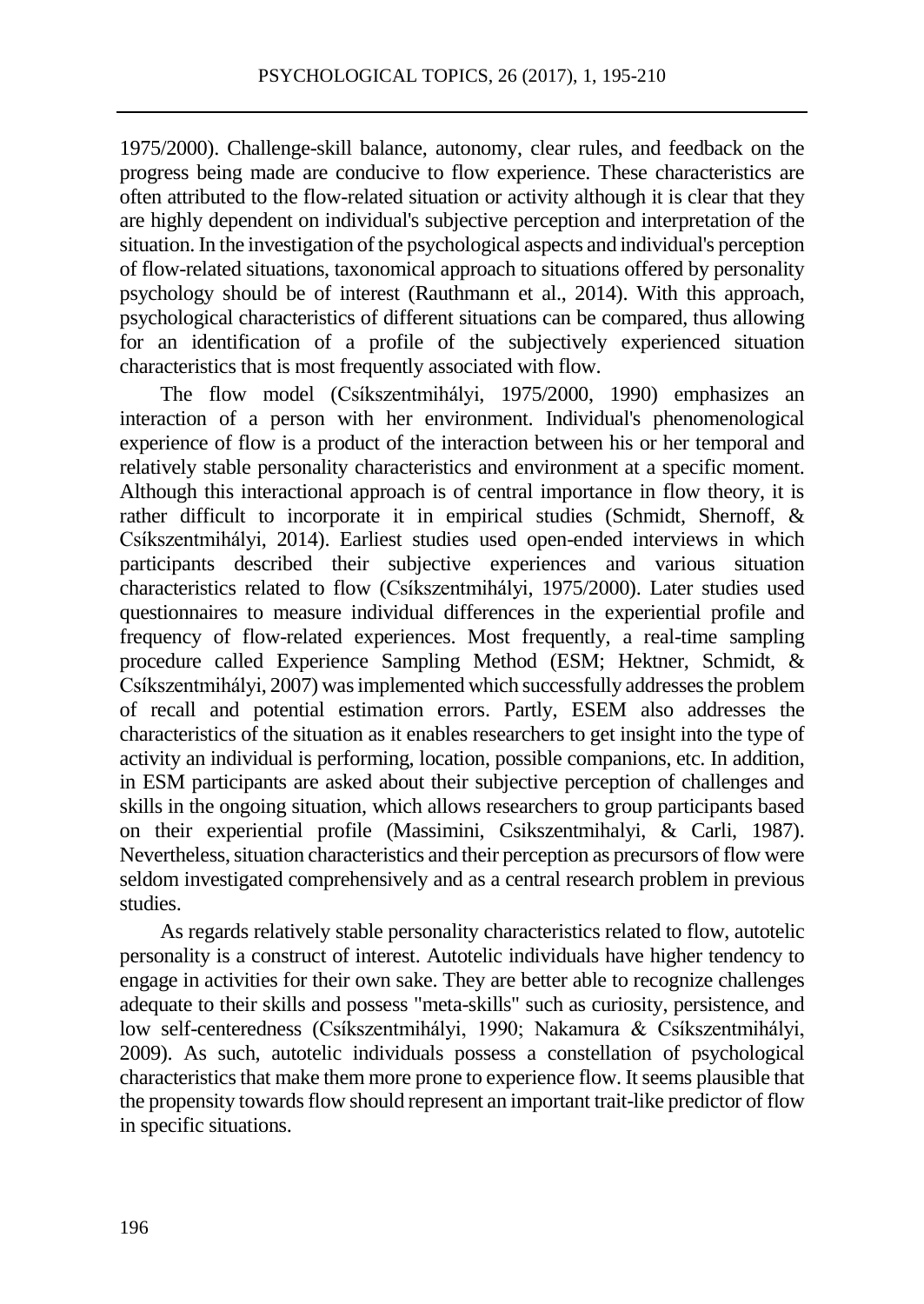1975/2000). Challenge-skill balance, autonomy, clear rules, and feedback on the progress being made are conducive to flow experience. These characteristics are often attributed to the flow-related situation or activity although it is clear that they are highly dependent on individual's subjective perception and interpretation of the situation. In the investigation of the psychological aspects and individual's perception of flow-related situations, taxonomical approach to situations offered by personality psychology should be of interest (Rauthmann et al., 2014). With this approach, psychological characteristics of different situations can be compared, thus allowing for an identification of a profile of the subjectively experienced situation characteristics that is most frequently associated with flow.

The flow model (Csíkszentmihályi, 1975/2000, 1990) emphasizes an interaction of a person with her environment. Individual's phenomenological experience of flow is a product of the interaction between his or her temporal and relatively stable personality characteristics and environment at a specific moment. Although this interactional approach is of central importance in flow theory, it is rather difficult to incorporate it in empirical studies (Schmidt, Shernoff, & Csíkszentmihályi, 2014). Earliest studies used open-ended interviews in which participants described their subjective experiences and various situation characteristics related to flow (Csíkszentmihályi, 1975/2000). Later studies used questionnaires to measure individual differences in the experiential profile and frequency of flow-related experiences. Most frequently, a real-time sampling procedure called Experience Sampling Method (ESM; Hektner, Schmidt, & Csíkszentmihályi, 2007) was implemented which successfully addressesthe problem of recall and potential estimation errors. Partly, ESEM also addresses the characteristics of the situation as it enables researchers to get insight into the type of activity an individual is performing, location, possible companions, etc. In addition, in ESM participants are asked about their subjective perception of challenges and skills in the ongoing situation, which allows researchers to group participants based on their experiential profile (Massimini, Csikszentmihalyi, & Carli, 1987). Nevertheless, situation characteristics and their perception as precursors of flow were seldom investigated comprehensively and as a central research problem in previous studies.

As regards relatively stable personality characteristics related to flow, autotelic personality is a construct of interest. Autotelic individuals have higher tendency to engage in activities for their own sake. They are better able to recognize challenges adequate to their skills and possess "meta-skills" such as curiosity, persistence, and low self-centeredness (Csíkszentmihályi, 1990; Nakamura & Csíkszentmihályi, 2009). As such, autotelic individuals possess a constellation of psychological characteristics that make them more prone to experience flow. It seems plausible that the propensity towards flow should represent an important trait-like predictor of flow in specific situations.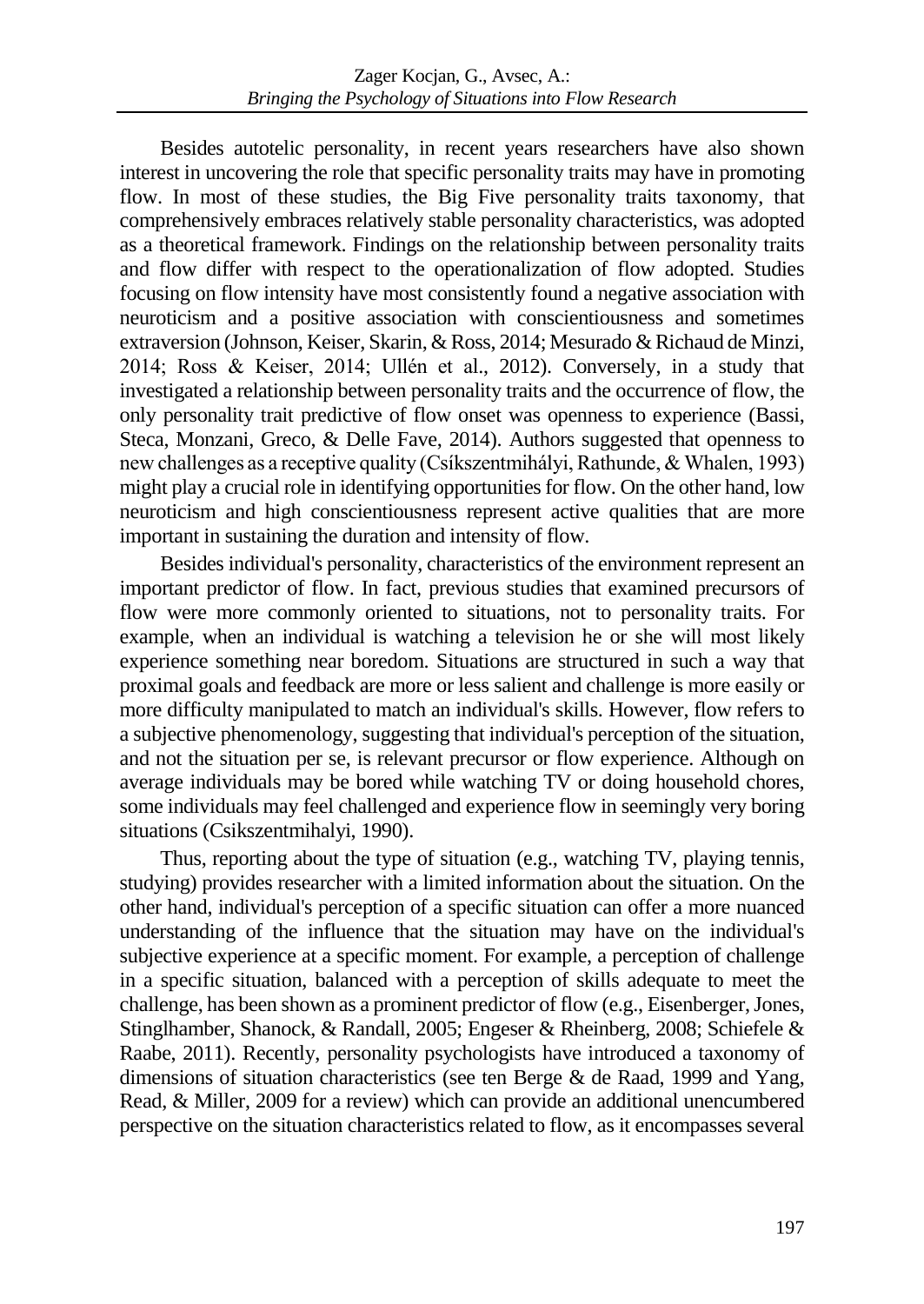Besides autotelic personality, in recent years researchers have also shown interest in uncovering the role that specific personality traits may have in promoting flow. In most of these studies, the Big Five personality traits taxonomy, that comprehensively embraces relatively stable personality characteristics, was adopted as a theoretical framework. Findings on the relationship between personality traits and flow differ with respect to the operationalization of flow adopted. Studies focusing on flow intensity have most consistently found a negative association with neuroticism and a positive association with conscientiousness and sometimes extraversion (Johnson, Keiser, Skarin, & Ross, 2014; Mesurado & Richaud de Minzi, 2014; Ross & Keiser, 2014; Ullén et al., 2012). Conversely, in a study that investigated a relationship between personality traits and the occurrence of flow, the only personality trait predictive of flow onset was openness to experience (Bassi, Steca, Monzani, Greco, & Delle Fave, 2014). Authors suggested that openness to new challenges as a receptive quality (Csíkszentmihályi, Rathunde, & Whalen, 1993) might play a crucial role in identifying opportunities for flow. On the other hand, low neuroticism and high conscientiousness represent active qualities that are more important in sustaining the duration and intensity of flow.

Besides individual's personality, characteristics of the environment represent an important predictor of flow. In fact, previous studies that examined precursors of flow were more commonly oriented to situations, not to personality traits. For example, when an individual is watching a television he or she will most likely experience something near boredom. Situations are structured in such a way that proximal goals and feedback are more or less salient and challenge is more easily or more difficulty manipulated to match an individual's skills. However, flow refers to a subjective phenomenology, suggesting that individual's perception of the situation, and not the situation per se, is relevant precursor or flow experience. Although on average individuals may be bored while watching TV or doing household chores, some individuals may feel challenged and experience flow in seemingly very boring situations (Csikszentmihalyi, 1990).

Thus, reporting about the type of situation (e.g., watching TV, playing tennis, studying) provides researcher with a limited information about the situation. On the other hand, individual's perception of a specific situation can offer a more nuanced understanding of the influence that the situation may have on the individual's subjective experience at a specific moment. For example, a perception of challenge in a specific situation, balanced with a perception of skills adequate to meet the challenge, has been shown as a prominent predictor of flow (e.g., Eisenberger,Jones, Stinglhamber, Shanock, & Randall, 2005; Engeser & Rheinberg, 2008; Schiefele & Raabe, 2011). Recently, personality psychologists have introduced a taxonomy of dimensions of situation characteristics (see ten Berge & de Raad, 1999 and Yang, Read, & Miller, 2009 for a review) which can provide an additional unencumbered perspective on the situation characteristics related to flow, as it encompasses several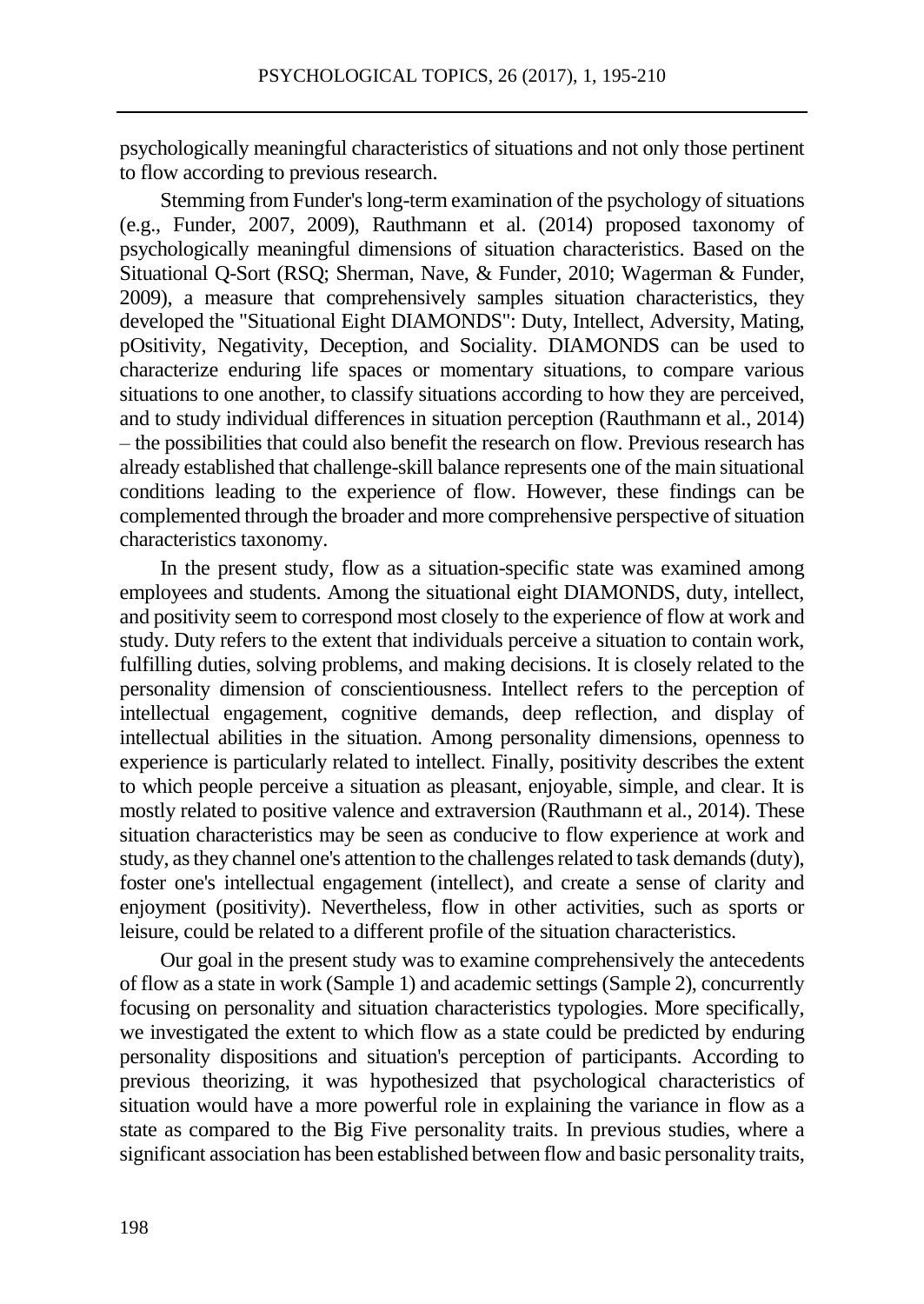psychologically meaningful characteristics of situations and not only those pertinent to flow according to previous research.

Stemming from Funder's long-term examination of the psychology of situations (e.g., Funder, 2007, 2009), Rauthmann et al. (2014) proposed taxonomy of psychologically meaningful dimensions of situation characteristics. Based on the Situational Q-Sort (RSQ; Sherman, Nave, & Funder, 2010; Wagerman & Funder, 2009), a measure that comprehensively samples situation characteristics, they developed the "Situational Eight DIAMONDS": Duty, Intellect, Adversity, Mating, pOsitivity, Negativity, Deception, and Sociality. DIAMONDS can be used to characterize enduring life spaces or momentary situations, to compare various situations to one another, to classify situations according to how they are perceived, and to study individual differences in situation perception (Rauthmann et al., 2014) – the possibilities that could also benefit the research on flow. Previous research has already established that challenge-skill balance represents one of the main situational conditions leading to the experience of flow. However, these findings can be complemented through the broader and more comprehensive perspective of situation characteristics taxonomy.

In the present study, flow as a situation-specific state was examined among employees and students. Among the situational eight DIAMONDS, duty, intellect, and positivity seem to correspond most closely to the experience of flow at work and study. Duty refers to the extent that individuals perceive a situation to contain work, fulfilling duties, solving problems, and making decisions. It is closely related to the personality dimension of conscientiousness. Intellect refers to the perception of intellectual engagement, cognitive demands, deep reflection, and display of intellectual abilities in the situation. Among personality dimensions, openness to experience is particularly related to intellect. Finally, positivity describes the extent to which people perceive a situation as pleasant, enjoyable, simple, and clear. It is mostly related to positive valence and extraversion (Rauthmann et al., 2014). These situation characteristics may be seen as conducive to flow experience at work and study, as they channel one's attention to the challenges related to task demands (duty), foster one's intellectual engagement (intellect), and create a sense of clarity and enjoyment (positivity). Nevertheless, flow in other activities, such as sports or leisure, could be related to a different profile of the situation characteristics.

Our goal in the present study was to examine comprehensively the antecedents of flow as a state in work (Sample 1) and academic settings (Sample 2), concurrently focusing on personality and situation characteristics typologies. More specifically, we investigated the extent to which flow as a state could be predicted by enduring personality dispositions and situation's perception of participants. According to previous theorizing, it was hypothesized that psychological characteristics of situation would have a more powerful role in explaining the variance in flow as a state as compared to the Big Five personality traits. In previous studies, where a significant association has been established between flow and basic personality traits,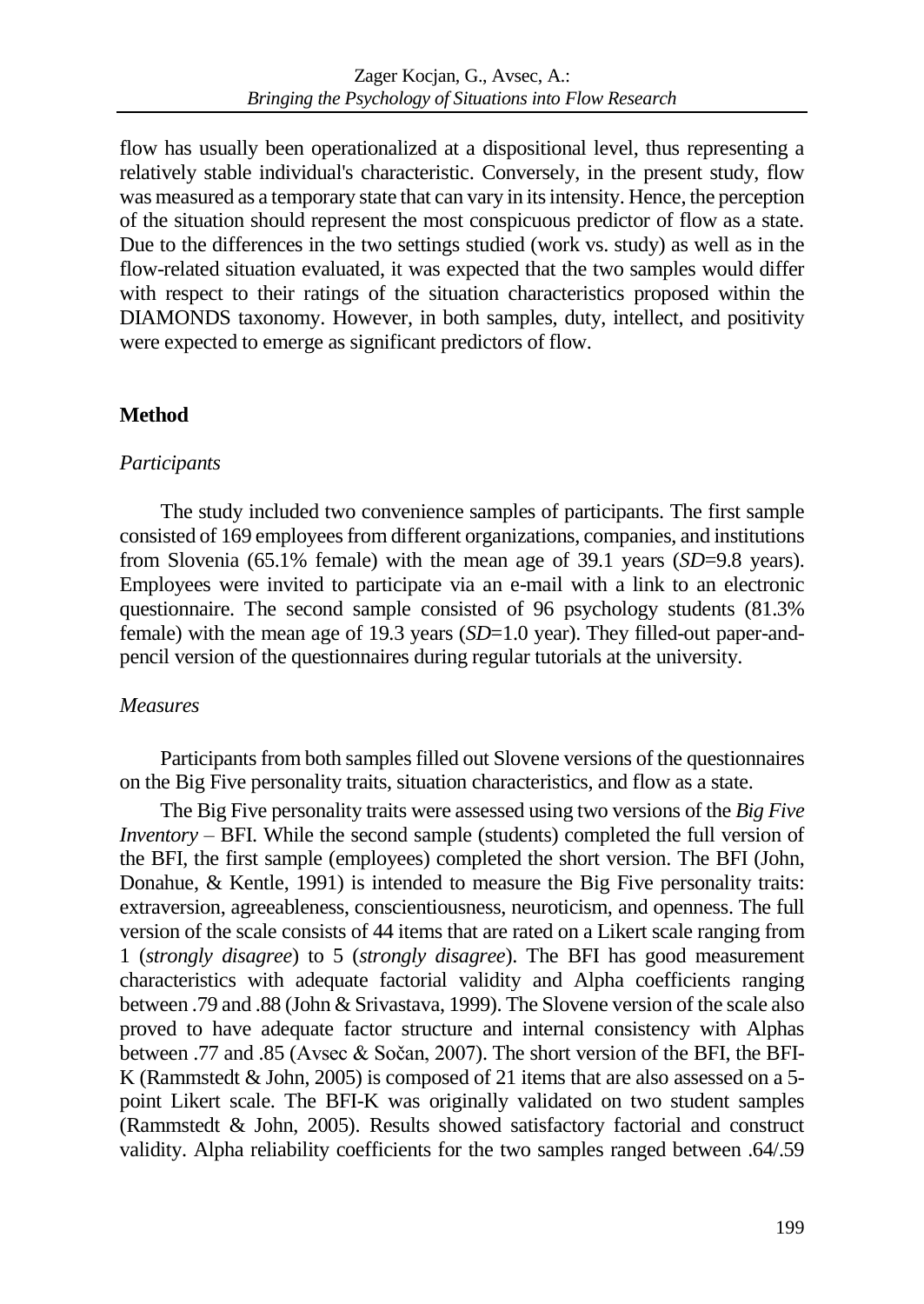flow has usually been operationalized at a dispositional level, thus representing a relatively stable individual's characteristic. Conversely, in the present study, flow was measured as a temporary state that can vary in its intensity. Hence, the perception of the situation should represent the most conspicuous predictor of flow as a state. Due to the differences in the two settings studied (work vs. study) as well as in the flow-related situation evaluated, it was expected that the two samples would differ with respect to their ratings of the situation characteristics proposed within the DIAMONDS taxonomy. However, in both samples, duty, intellect, and positivity were expected to emerge as significant predictors of flow.

# **Method**

# *Participants*

The study included two convenience samples of participants. The first sample consisted of 169 employeesfrom different organizations, companies, and institutions from Slovenia (65.1% female) with the mean age of 39.1 years (*SD*=9.8 years). Employees were invited to participate via an e-mail with a link to an electronic questionnaire. The second sample consisted of 96 psychology students (81.3% female) with the mean age of 19.3 years (*SD*=1.0 year). They filled-out paper-andpencil version of the questionnaires during regular tutorials at the university.

# *Measures*

Participants from both samples filled out Slovene versions of the questionnaires on the Big Five personality traits, situation characteristics, and flow as a state.

The Big Five personality traits were assessed using two versions of the *Big Five Inventory* – BFI. While the second sample (students) completed the full version of the BFI, the first sample (employees) completed the short version. The BFI (John, Donahue, & Kentle, 1991) is intended to measure the Big Five personality traits: extraversion, agreeableness, conscientiousness, neuroticism, and openness. The full version of the scale consists of 44 items that are rated on a Likert scale ranging from 1 (*strongly disagree*) to 5 (*strongly disagree*). The BFI has good measurement characteristics with adequate factorial validity and Alpha coefficients ranging between .79 and .88 (John & Srivastava, 1999). The Slovene version of the scale also proved to have adequate factor structure and internal consistency with Alphas between .77 and .85 (Avsec & Sočan, 2007). The short version of the BFI, the BFI-K (Rammstedt  $&$  John, 2005) is composed of 21 items that are also assessed on a 5point Likert scale. The BFI-K was originally validated on two student samples (Rammstedt & John, 2005). Results showed satisfactory factorial and construct validity. Alpha reliability coefficients for the two samples ranged between .64/.59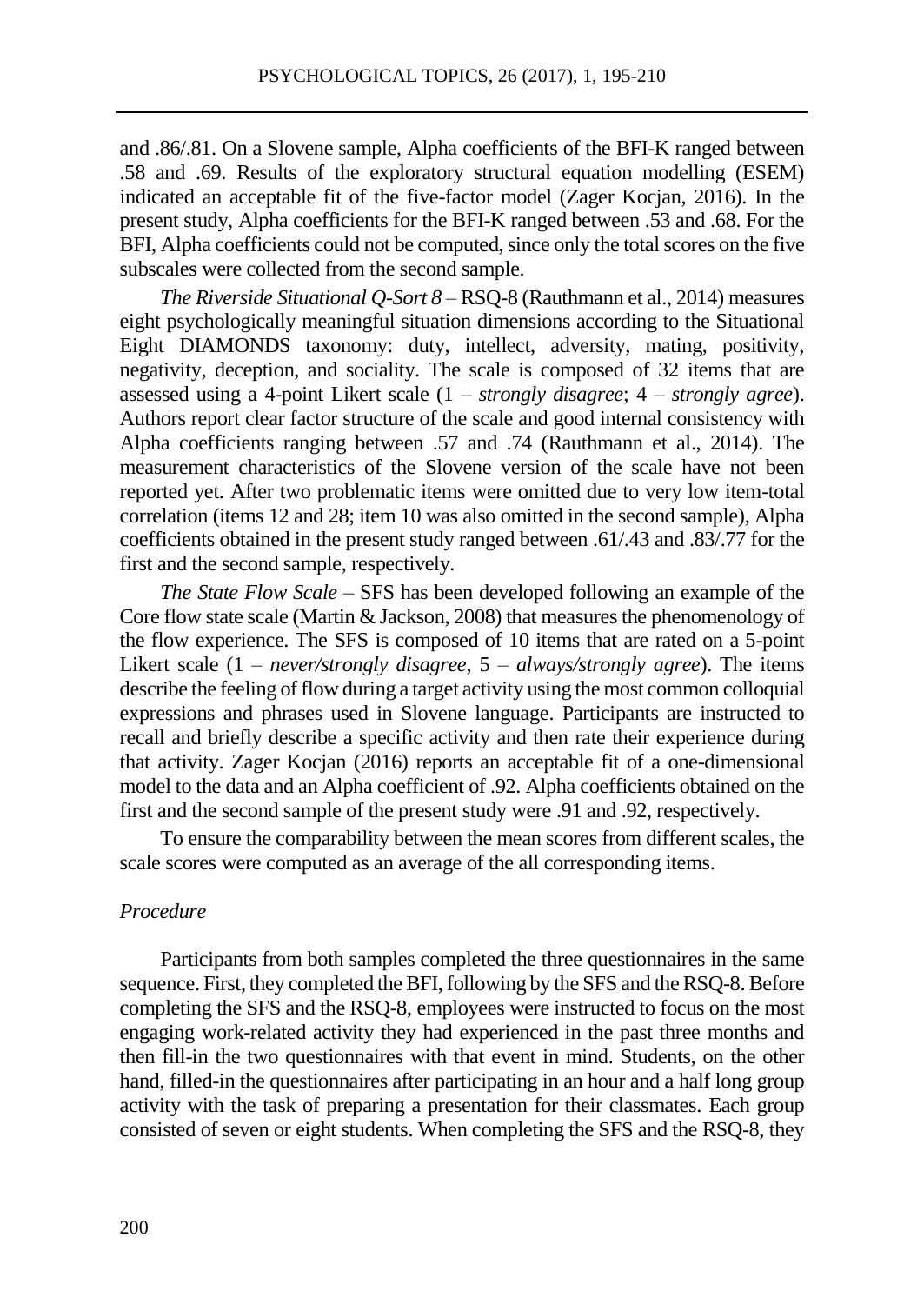and .86/.81. On a Slovene sample, Alpha coefficients of the BFI-K ranged between .58 and .69. Results of the exploratory structural equation modelling (ESEM) indicated an acceptable fit of the five-factor model (Zager Kocjan, 2016). In the present study, Alpha coefficients for the BFI-K ranged between .53 and .68. For the BFI, Alpha coefficients could not be computed, since only the total scores on the five subscales were collected from the second sample.

*The Riverside Situational Q-Sort 8* – RSQ-8 (Rauthmann et al., 2014) measures eight psychologically meaningful situation dimensions according to the Situational Eight DIAMONDS taxonomy: duty, intellect, adversity, mating, positivity, negativity, deception, and sociality. The scale is composed of 32 items that are assessed using a 4-point Likert scale (1 – *strongly disagree*; 4 – *strongly agree*). Authors report clear factor structure of the scale and good internal consistency with Alpha coefficients ranging between .57 and .74 (Rauthmann et al., 2014). The measurement characteristics of the Slovene version of the scale have not been reported yet. After two problematic items were omitted due to very low item-total correlation (items 12 and 28; item 10 was also omitted in the second sample), Alpha coefficients obtained in the present study ranged between .61/.43 and .83/.77 for the first and the second sample, respectively.

*The State Flow Scale –* SFS has been developed following an example of the Core flow state scale (Martin & Jackson, 2008) that measures the phenomenology of the flow experience. The SFS is composed of 10 items that are rated on a 5-point Likert scale (1 – *never/strongly disagree*, 5 – *always/strongly agree*). The items describe the feeling of flow during a target activity using the most common colloquial expressions and phrases used in Slovene language. Participants are instructed to recall and briefly describe a specific activity and then rate their experience during that activity. Zager Kocjan (2016) reports an acceptable fit of a one-dimensional model to the data and an Alpha coefficient of .92. Alpha coefficients obtained on the first and the second sample of the present study were .91 and .92, respectively.

To ensure the comparability between the mean scores from different scales, the scale scores were computed as an average of the all corresponding items.

#### *Procedure*

Participants from both samples completed the three questionnaires in the same sequence. First, they completed the BFI, following by the SFS and the RSQ-8. Before completing the SFS and the RSQ-8, employees were instructed to focus on the most engaging work-related activity they had experienced in the past three months and then fill-in the two questionnaires with that event in mind. Students, on the other hand, filled-in the questionnaires after participating in an hour and a half long group activity with the task of preparing a presentation for their classmates. Each group consisted of seven or eight students. When completing the SFS and the RSQ-8, they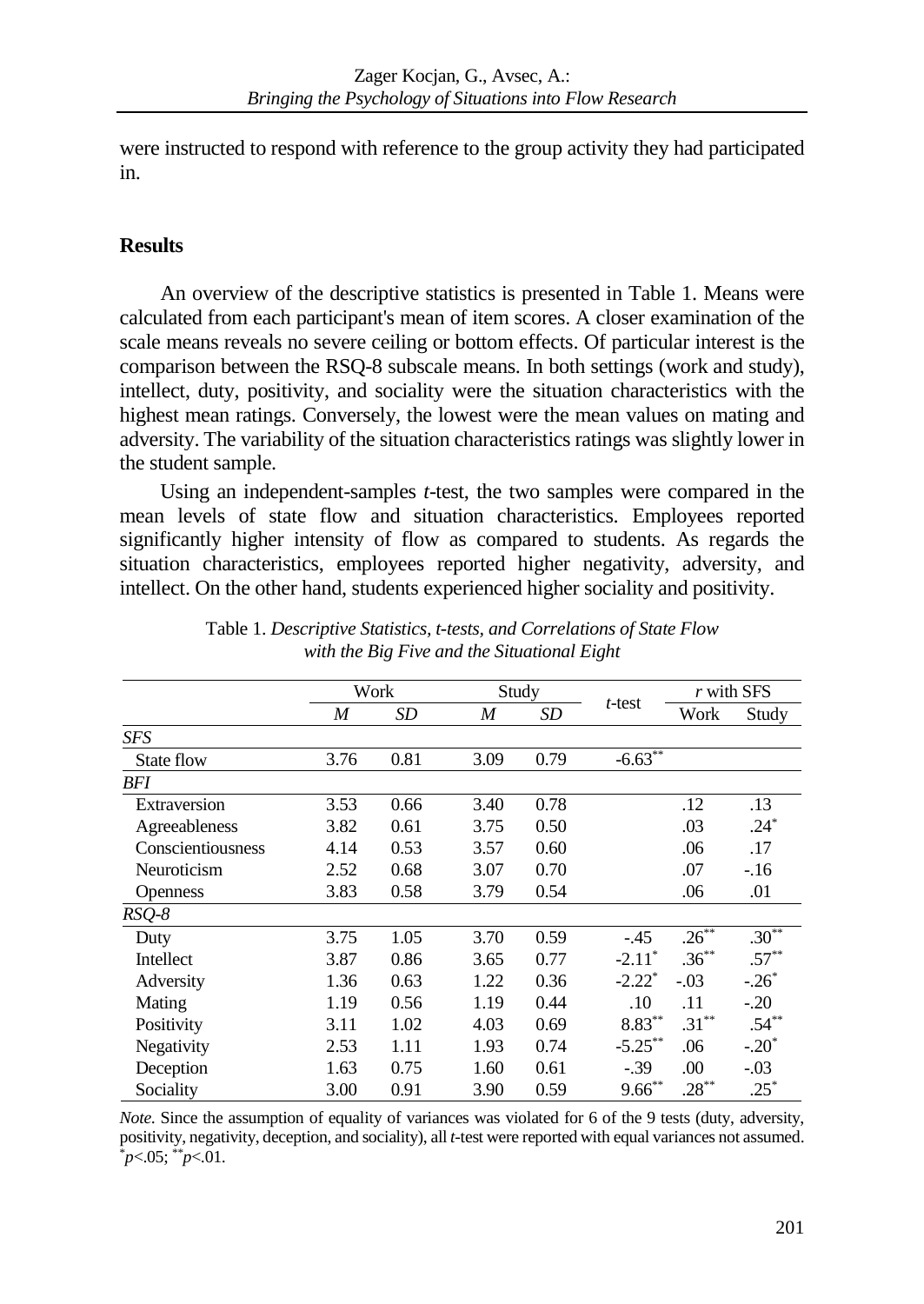were instructed to respond with reference to the group activity they had participated in.

### **Results**

An overview of the descriptive statistics is presented in Table 1. Means were calculated from each participant's mean of item scores. A closer examination of the scale means reveals no severe ceiling or bottom effects. Of particular interest is the comparison between the RSQ-8 subscale means. In both settings (work and study), intellect, duty, positivity, and sociality were the situation characteristics with the highest mean ratings. Conversely, the lowest were the mean values on mating and adversity. The variability of the situation characteristics ratings was slightly lower in the student sample.

Using an independent-samples *t*-test, the two samples were compared in the mean levels of state flow and situation characteristics. Employees reported significantly higher intensity of flow as compared to students. As regards the situation characteristics, employees reported higher negativity, adversity, and intellect. On the other hand, students experienced higher sociality and positivity.

|                   | Work |      | Study |      |                       | r with SFS |          |
|-------------------|------|------|-------|------|-----------------------|------------|----------|
|                   | M    | SD   | M     | SD   | $t$ -test             | Work       | Study    |
| <b>SFS</b>        |      |      |       |      |                       |            |          |
| State flow        | 3.76 | 0.81 | 3.09  | 0.79 | $-6.63$ <sup>**</sup> |            |          |
| BFI               |      |      |       |      |                       |            |          |
| Extraversion      | 3.53 | 0.66 | 3.40  | 0.78 |                       | .12        | .13      |
| Agreeableness     | 3.82 | 0.61 | 3.75  | 0.50 |                       | .03        | $.24*$   |
| Conscientiousness | 4.14 | 0.53 | 3.57  | 0.60 |                       | .06        | .17      |
| Neuroticism       | 2.52 | 0.68 | 3.07  | 0.70 |                       | .07        | $-.16$   |
| <b>Openness</b>   | 3.83 | 0.58 | 3.79  | 0.54 |                       | .06        | .01      |
| $RSQ-8$           |      |      |       |      |                       |            |          |
| Duty              | 3.75 | 1.05 | 3.70  | 0.59 | $-.45$                | $.26***$   | $.30**$  |
| Intellect         | 3.87 | 0.86 | 3.65  | 0.77 | $-2.11^*$             | $.36***$   | $.57***$ |
| Adversity         | 1.36 | 0.63 | 1.22  | 0.36 | $-2.22$ <sup>*</sup>  | $-.03$     | $-.26*$  |
| Mating            | 1.19 | 0.56 | 1.19  | 0.44 | .10                   | .11        | $-.20$   |
| Positivity        | 3.11 | 1.02 | 4.03  | 0.69 | $8.83***$             | $.31***$   | $.54***$ |
| Negativity        | 2.53 | 1.11 | 1.93  | 0.74 | $-5.25***$            | .06        | $-.20*$  |
| Deception         | 1.63 | 0.75 | 1.60  | 0.61 | $-.39$                | .00        | $-.03$   |
| Sociality         | 3.00 | 0.91 | 3.90  | 0.59 | $9.66***$             | $.28***$   | $.25*$   |

Table 1. *Descriptive Statistics, t-tests, and Correlations of State Flow with the Big Five and the Situational Eight*

*Note*. Since the assumption of equality of variances was violated for 6 of the 9 tests (duty, adversity, positivity, negativity, deception, and sociality), all *t*-test were reported with equal variances not assumed. \**p*<.05; \*\**p*<.01.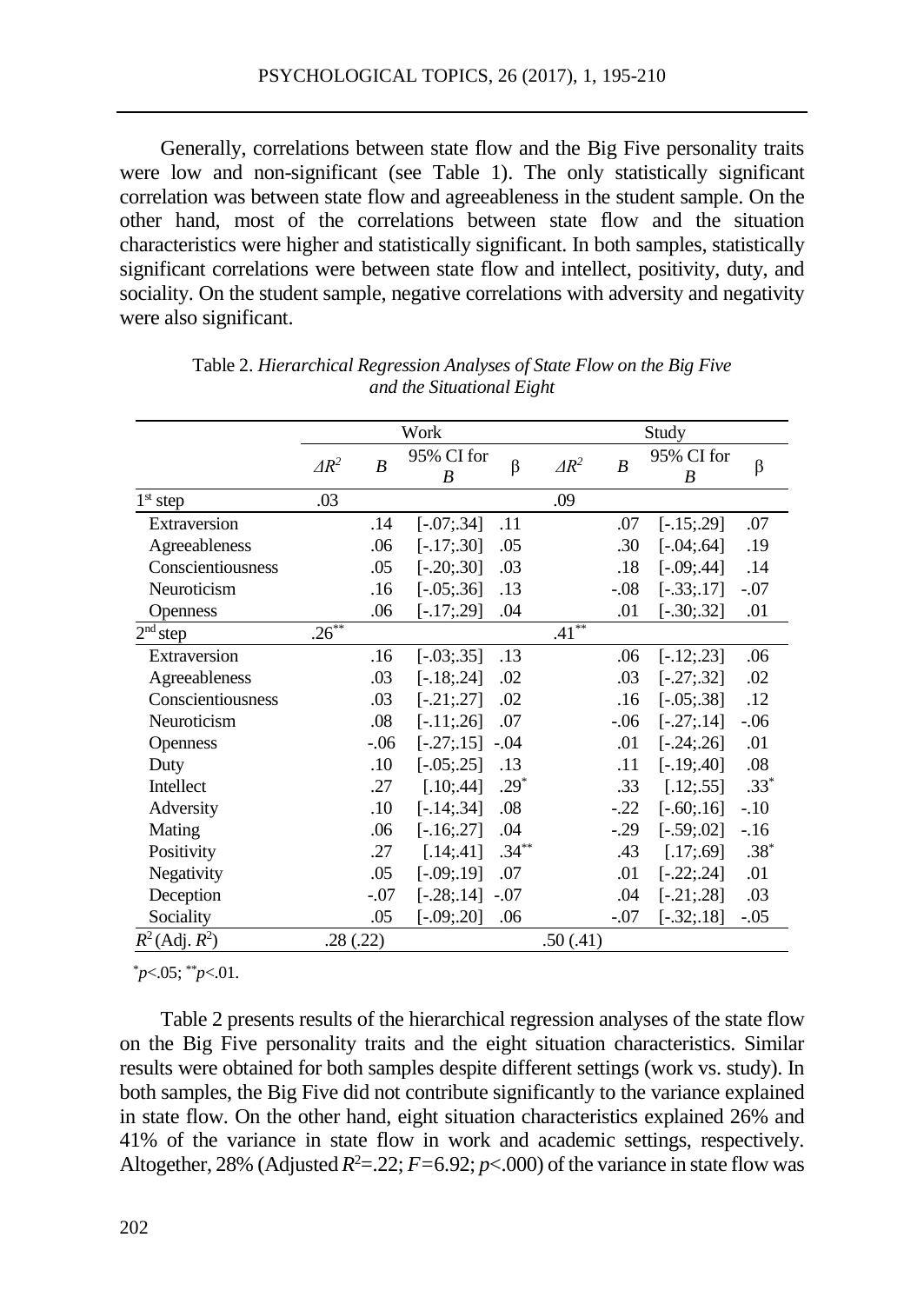Generally, correlations between state flow and the Big Five personality traits were low and non-significant (see Table 1). The only statistically significant correlation was between state flow and agreeableness in the student sample. On the other hand, most of the correlations between state flow and the situation characteristics were higher and statistically significant. In both samples, statistically significant correlations were between state flow and intellect, positivity, duty, and sociality. On the student sample, negative correlations with adversity and negativity were also significant.

|                     | Work         |                  |                    |          | Study               |                  |                 |        |
|---------------------|--------------|------------------|--------------------|----------|---------------------|------------------|-----------------|--------|
|                     | $\Delta R^2$ | $\boldsymbol{B}$ | 95% CI for<br>B    | $\beta$  | $\Delta R^2$        | $\boldsymbol{B}$ | 95% CI for<br>B | β      |
| $1st$ step          | .03          |                  |                    |          | .09                 |                  |                 |        |
| Extraversion        |              | .14              | $[-.07; .34]$      | .11      |                     | .07              | $[-.15; .29]$   | .07    |
| Agreeableness       |              | .06              | $[-.17; .30]$      | .05      |                     | .30              | $[-.04; .64]$   | .19    |
| Conscientiousness   |              | .05              | $[-.20; .30]$      | .03      |                     | .18              | $[-.09; .44]$   | .14    |
| Neuroticism         |              | .16              | $[-.05; .36]$      | .13      |                     | $-.08$           | $[-.33; .17]$   | $-.07$ |
| Openness            |              | .06              | $[-.17; .29]$      | .04      |                     | .01              | $[-.30; .32]$   | .01    |
| $2nd$ step          | $.26***$     |                  |                    |          | $.41$ <sup>**</sup> |                  |                 |        |
| Extraversion        |              | .16              | $[-.03; .35]$      | .13      |                     | .06              | $[-.12; .23]$   | .06    |
| Agreeableness       |              | .03              | $[-.18; .24]$      | .02      |                     | .03              | $[-.27; .32]$   | .02    |
| Conscientiousness   |              | .03              | $[-.21; .27]$      | .02      |                     | .16              | $[-.05; .38]$   | .12    |
| Neuroticism         |              | .08              | $[-.11; .26]$      | .07      |                     | $-.06$           | $[-.27; .14]$   | $-.06$ |
| <b>Openness</b>     |              | $-.06$           | $[-.27; .15]$ -.04 |          |                     | .01              | $[-.24; .26]$   | .01    |
| Duty                |              | .10              | $[-.05; .25]$      | .13      |                     | .11              | $[-.19:0.40]$   | .08    |
| Intellect           |              | .27              | [.10; .44]         | $.29*$   |                     | .33              | [.12; .55]      | $.33*$ |
| Adversity           |              | .10              | $[-.14; .34]$      | .08      |                     | $-.22$           | $[-.60; .16]$   | $-.10$ |
| Mating              |              | .06              | $[-.16; .27]$      | .04      |                     | $-.29$           | $[-.59:02]$     | $-.16$ |
| Positivity          |              | .27              | [.14; .41]         | $.34***$ |                     | .43              | [.17; .69]      | $.38*$ |
| Negativity          |              | .05              | $[-.09; .19]$      | .07      |                     | .01              | $[-.22, .24]$   | .01    |
| Deception           |              | $-.07$           | $[-.28; .14]$      | $-.07$   |                     | .04              | $[-.21; .28]$   | .03    |
| Sociality           |              | .05              | $[-.09; .20]$      | .06      |                     | $-.07$           | $[-.32; .18]$   | $-.05$ |
| $R^2$ (Adj. $R^2$ ) | .28(.22)     |                  |                    |          | .50(.41)            |                  |                 |        |

Table 2. *Hierarchical Regression Analyses of State Flow on the Big Five and the Situational Eight*

\**p*<.05; \*\**p*<.01.

Table 2 presents results of the hierarchical regression analyses of the state flow on the Big Five personality traits and the eight situation characteristics. Similar results were obtained for both samples despite different settings (work vs. study). In both samples, the Big Five did not contribute significantly to the variance explained in state flow. On the other hand, eight situation characteristics explained 26% and 41% of the variance in state flow in work and academic settings, respectively. Altogether, 28% (Adjusted  $R^2 = 0.22$ ;  $F = 6.92$ ;  $p < 0.00$ ) of the variance in state flow was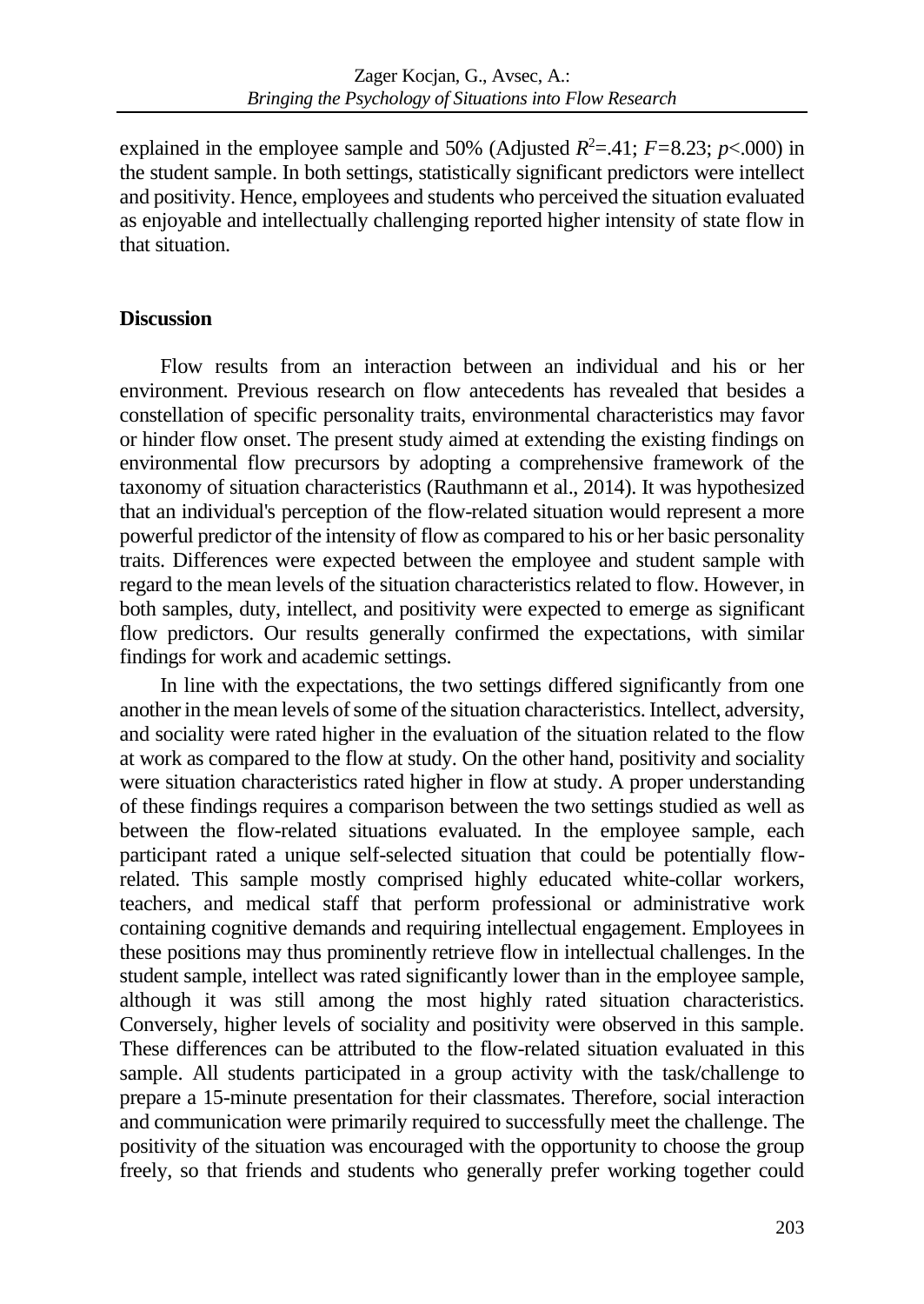explained in the employee sample and 50% (Adjusted  $R^2 = 0.41$ ;  $F = 8.23$ ;  $p < 0.00$ ) in the student sample. In both settings, statistically significant predictors were intellect and positivity. Hence, employees and students who perceived the situation evaluated as enjoyable and intellectually challenging reported higher intensity of state flow in that situation.

### **Discussion**

Flow results from an interaction between an individual and his or her environment. Previous research on flow antecedents has revealed that besides a constellation of specific personality traits, environmental characteristics may favor or hinder flow onset. The present study aimed at extending the existing findings on environmental flow precursors by adopting a comprehensive framework of the taxonomy of situation characteristics (Rauthmann et al., 2014). It was hypothesized that an individual's perception of the flow-related situation would represent a more powerful predictor of the intensity of flow as compared to his or her basic personality traits. Differences were expected between the employee and student sample with regard to the mean levels of the situation characteristics related to flow. However, in both samples, duty, intellect, and positivity were expected to emerge as significant flow predictors. Our results generally confirmed the expectations, with similar findings for work and academic settings.

In line with the expectations, the two settings differed significantly from one another in the mean levels of some of the situation characteristics. Intellect, adversity, and sociality were rated higher in the evaluation of the situation related to the flow at work as compared to the flow at study. On the other hand, positivity and sociality were situation characteristics rated higher in flow at study. A proper understanding of these findings requires a comparison between the two settings studied as well as between the flow-related situations evaluated. In the employee sample, each participant rated a unique self-selected situation that could be potentially flowrelated. This sample mostly comprised highly educated white-collar workers, teachers, and medical staff that perform professional or administrative work containing cognitive demands and requiring intellectual engagement. Employees in these positions may thus prominently retrieve flow in intellectual challenges. In the student sample, intellect was rated significantly lower than in the employee sample, although it was still among the most highly rated situation characteristics. Conversely, higher levels of sociality and positivity were observed in this sample. These differences can be attributed to the flow-related situation evaluated in this sample. All students participated in a group activity with the task/challenge to prepare a 15-minute presentation for their classmates. Therefore, social interaction and communication were primarily required to successfully meet the challenge. The positivity of the situation was encouraged with the opportunity to choose the group freely, so that friends and students who generally prefer working together could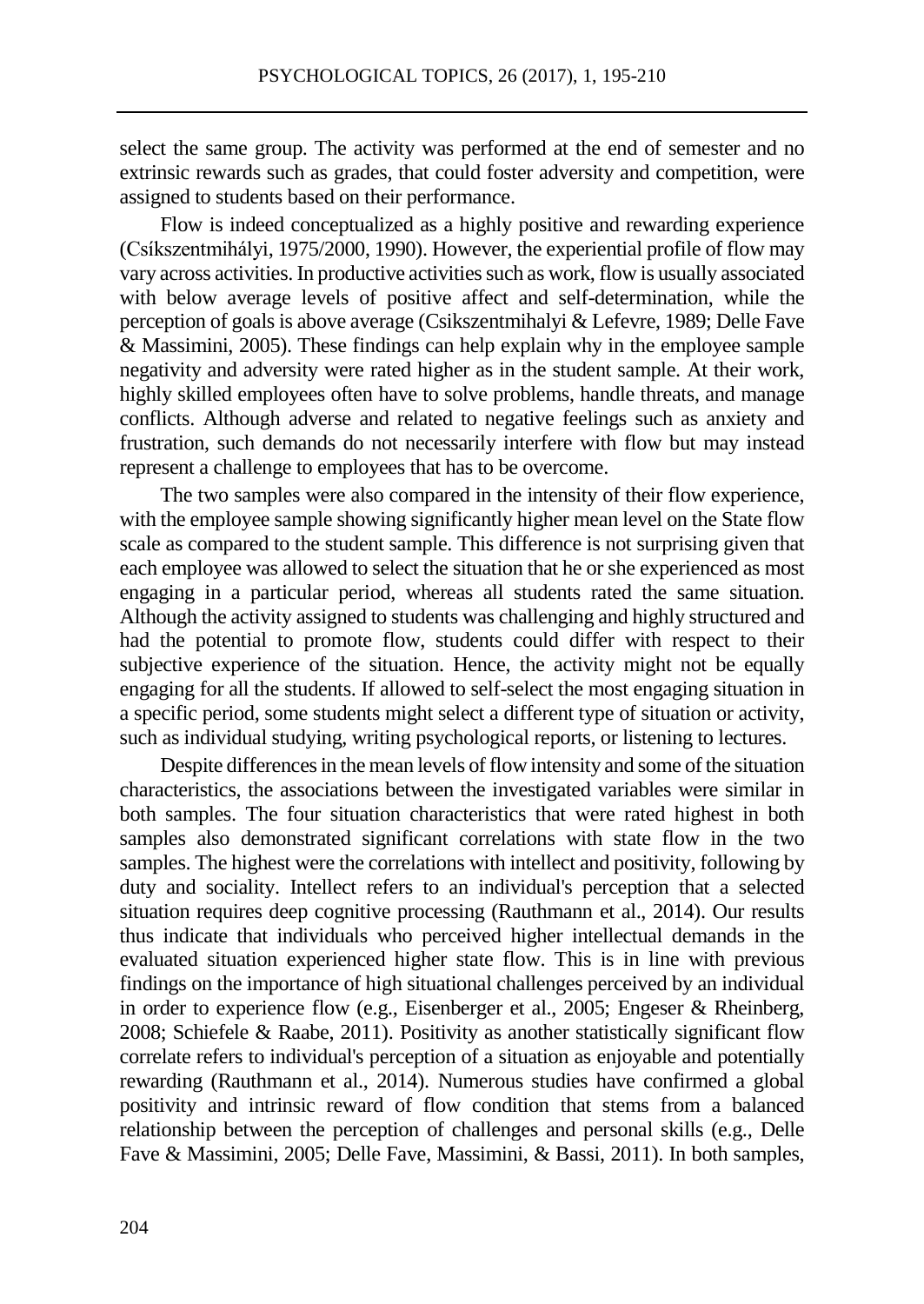select the same group. The activity was performed at the end of semester and no extrinsic rewards such as grades, that could foster adversity and competition, were assigned to students based on their performance.

Flow is indeed conceptualized as a highly positive and rewarding experience (Csíkszentmihályi, 1975/2000, 1990). However, the experiential profile of flow may vary across activities. In productive activities such as work, flow is usually associated with below average levels of positive affect and self-determination, while the perception of goals is above average (Csikszentmihalyi & Lefevre, 1989; Delle Fave & Massimini, 2005). These findings can help explain why in the employee sample negativity and adversity were rated higher as in the student sample. At their work, highly skilled employees often have to solve problems, handle threats, and manage conflicts. Although adverse and related to negative feelings such as anxiety and frustration, such demands do not necessarily interfere with flow but may instead represent a challenge to employees that has to be overcome.

The two samples were also compared in the intensity of their flow experience, with the employee sample showing significantly higher mean level on the State flow scale as compared to the student sample. This difference is not surprising given that each employee was allowed to select the situation that he or she experienced as most engaging in a particular period, whereas all students rated the same situation. Although the activity assigned to students was challenging and highly structured and had the potential to promote flow, students could differ with respect to their subjective experience of the situation. Hence, the activity might not be equally engaging for all the students. If allowed to self-select the most engaging situation in a specific period, some students might select a different type of situation or activity, such as individual studying, writing psychological reports, or listening to lectures.

Despite differences in the mean levels of flow intensity and some of the situation characteristics, the associations between the investigated variables were similar in both samples. The four situation characteristics that were rated highest in both samples also demonstrated significant correlations with state flow in the two samples. The highest were the correlations with intellect and positivity, following by duty and sociality. Intellect refers to an individual's perception that a selected situation requires deep cognitive processing (Rauthmann et al., 2014). Our results thus indicate that individuals who perceived higher intellectual demands in the evaluated situation experienced higher state flow. This is in line with previous findings on the importance of high situational challenges perceived by an individual in order to experience flow (e.g., Eisenberger et al., 2005; Engeser & Rheinberg, 2008; Schiefele & Raabe, 2011). Positivity as another statistically significant flow correlate refers to individual's perception of a situation as enjoyable and potentially rewarding (Rauthmann et al., 2014). Numerous studies have confirmed a global positivity and intrinsic reward of flow condition that stems from a balanced relationship between the perception of challenges and personal skills (e.g., Delle Fave & Massimini, 2005; Delle Fave, Massimini, & Bassi, 2011). In both samples,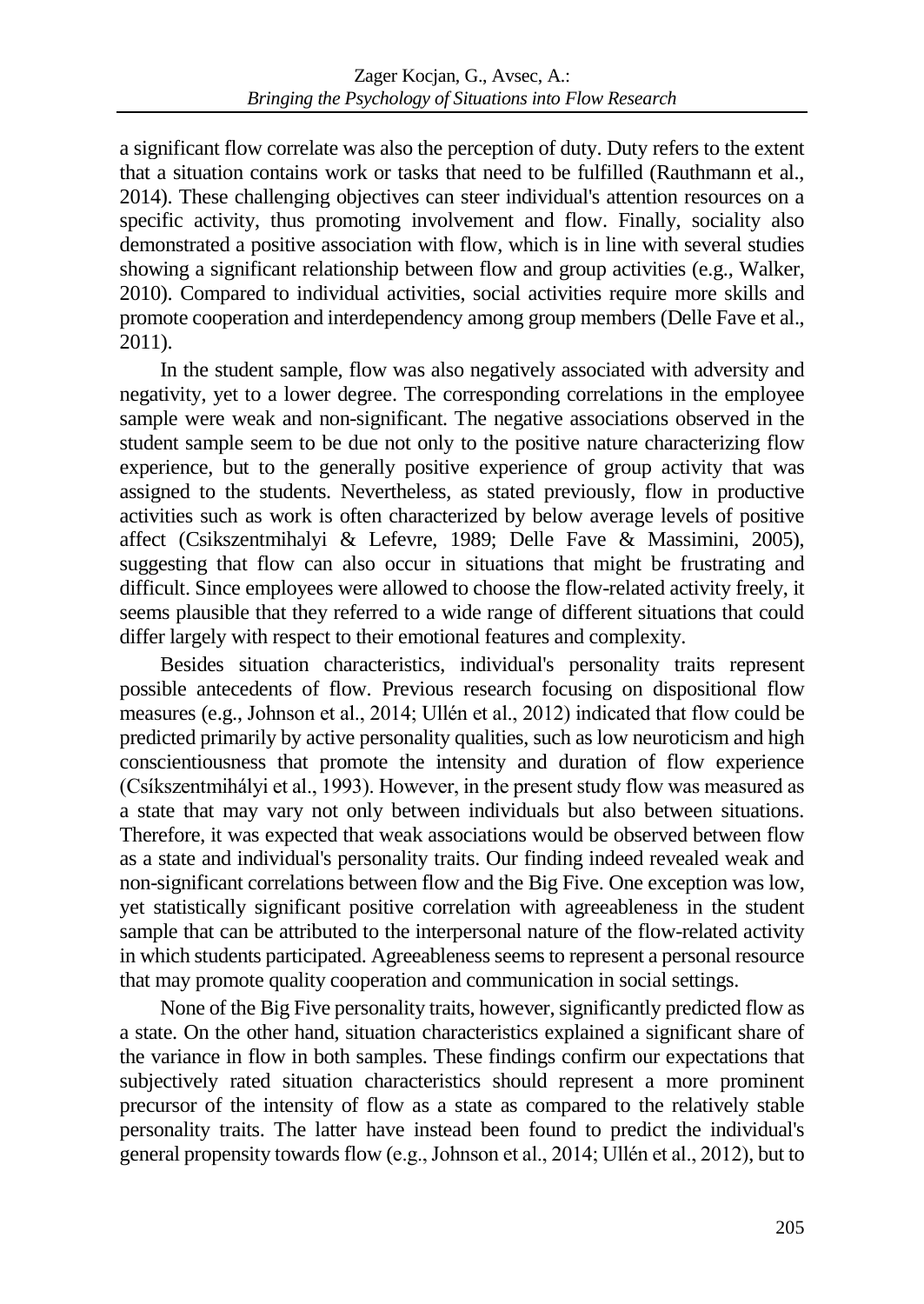a significant flow correlate was also the perception of duty. Duty refers to the extent that a situation contains work or tasks that need to be fulfilled (Rauthmann et al., 2014). These challenging objectives can steer individual's attention resources on a specific activity, thus promoting involvement and flow. Finally, sociality also demonstrated a positive association with flow, which is in line with several studies showing a significant relationship between flow and group activities (e.g., Walker, 2010). Compared to individual activities, social activities require more skills and promote cooperation and interdependency among group members (Delle Fave et al., 2011).

In the student sample, flow was also negatively associated with adversity and negativity, yet to a lower degree. The corresponding correlations in the employee sample were weak and non-significant. The negative associations observed in the student sample seem to be due not only to the positive nature characterizing flow experience, but to the generally positive experience of group activity that was assigned to the students. Nevertheless, as stated previously, flow in productive activities such as work is often characterized by below average levels of positive affect (Csikszentmihalyi & Lefevre, 1989; Delle Fave & Massimini, 2005), suggesting that flow can also occur in situations that might be frustrating and difficult. Since employees were allowed to choose the flow-related activity freely, it seems plausible that they referred to a wide range of different situations that could differ largely with respect to their emotional features and complexity.

Besides situation characteristics, individual's personality traits represent possible antecedents of flow. Previous research focusing on dispositional flow measures (e.g., Johnson et al., 2014; Ullén et al., 2012) indicated that flow could be predicted primarily by active personality qualities, such as low neuroticism and high conscientiousness that promote the intensity and duration of flow experience (Csíkszentmihályi et al., 1993). However, in the present study flow was measured as a state that may vary not only between individuals but also between situations. Therefore, it was expected that weak associations would be observed between flow as a state and individual's personality traits. Our finding indeed revealed weak and non-significant correlations between flow and the Big Five. One exception was low, yet statistically significant positive correlation with agreeableness in the student sample that can be attributed to the interpersonal nature of the flow-related activity in which students participated. Agreeableness seems to represent a personal resource that may promote quality cooperation and communication in social settings.

None of the Big Five personality traits, however, significantly predicted flow as a state. On the other hand, situation characteristics explained a significant share of the variance in flow in both samples. These findings confirm our expectations that subjectively rated situation characteristics should represent a more prominent precursor of the intensity of flow as a state as compared to the relatively stable personality traits. The latter have instead been found to predict the individual's general propensity towards flow (e.g., Johnson et al., 2014; Ullén et al., 2012), but to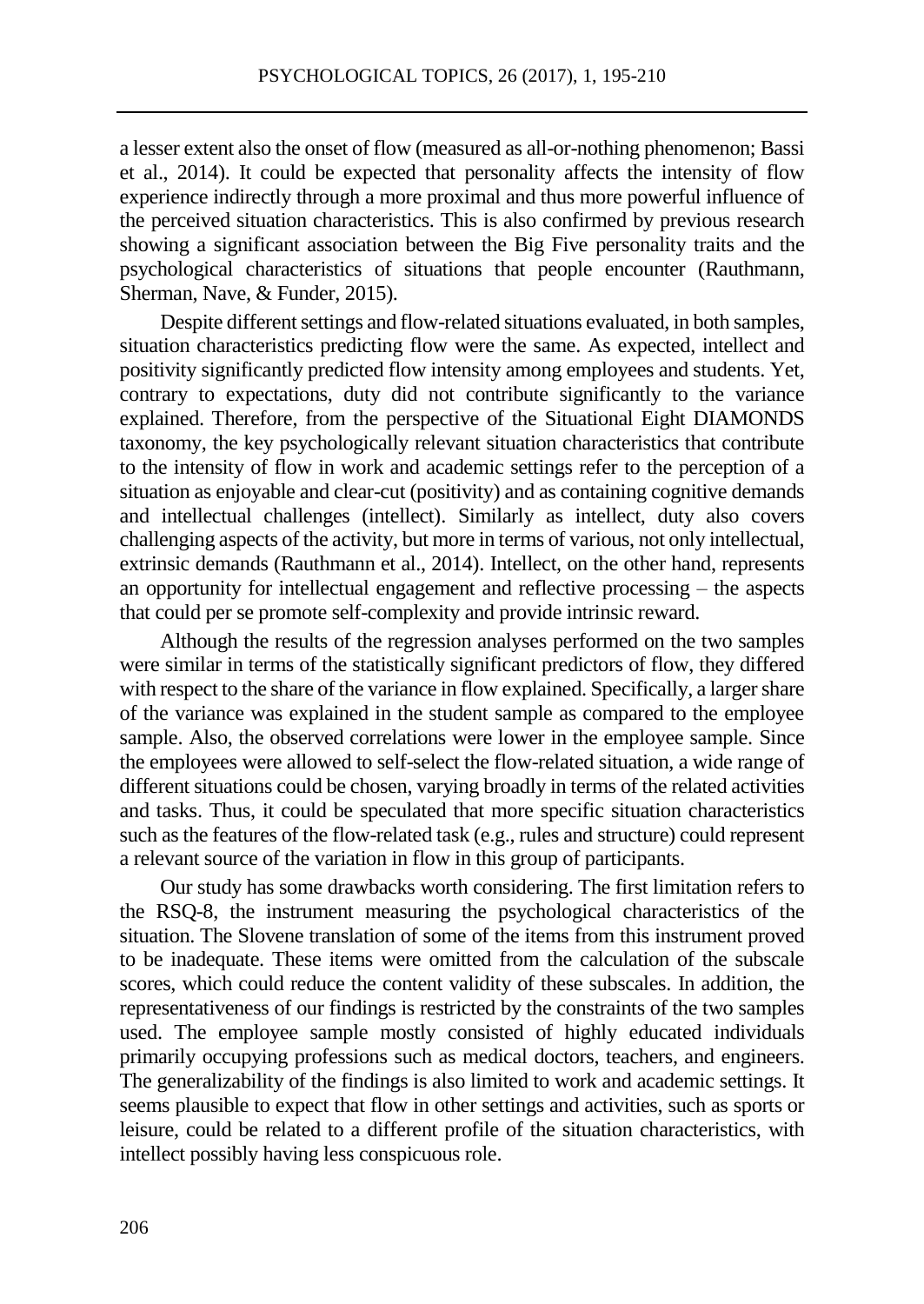a lesser extent also the onset of flow (measured as all-or-nothing phenomenon; Bassi et al., 2014). It could be expected that personality affects the intensity of flow experience indirectly through a more proximal and thus more powerful influence of the perceived situation characteristics. This is also confirmed by previous research showing a significant association between the Big Five personality traits and the psychological characteristics of situations that people encounter (Rauthmann, Sherman, Nave, & Funder, 2015).

Despite different settings and flow-related situations evaluated, in both samples, situation characteristics predicting flow were the same. As expected, intellect and positivity significantly predicted flow intensity among employees and students. Yet, contrary to expectations, duty did not contribute significantly to the variance explained. Therefore, from the perspective of the Situational Eight DIAMONDS taxonomy, the key psychologically relevant situation characteristics that contribute to the intensity of flow in work and academic settings refer to the perception of a situation as enjoyable and clear-cut (positivity) and as containing cognitive demands and intellectual challenges (intellect). Similarly as intellect, duty also covers challenging aspects of the activity, but more in terms of various, not only intellectual, extrinsic demands (Rauthmann et al., 2014). Intellect, on the other hand, represents an opportunity for intellectual engagement and reflective processing – the aspects that could per se promote self-complexity and provide intrinsic reward.

Although the results of the regression analyses performed on the two samples were similar in terms of the statistically significant predictors of flow, they differed with respect to the share of the variance in flow explained. Specifically, a larger share of the variance was explained in the student sample as compared to the employee sample. Also, the observed correlations were lower in the employee sample. Since the employees were allowed to self-select the flow-related situation, a wide range of different situations could be chosen, varying broadly in terms of the related activities and tasks. Thus, it could be speculated that more specific situation characteristics such as the features of the flow-related task (e.g., rules and structure) could represent a relevant source of the variation in flow in this group of participants.

Our study has some drawbacks worth considering. The first limitation refers to the RSQ-8, the instrument measuring the psychological characteristics of the situation. The Slovene translation of some of the items from this instrument proved to be inadequate. These items were omitted from the calculation of the subscale scores, which could reduce the content validity of these subscales. In addition, the representativeness of our findings is restricted by the constraints of the two samples used. The employee sample mostly consisted of highly educated individuals primarily occupying professions such as medical doctors, teachers, and engineers. The generalizability of the findings is also limited to work and academic settings. It seems plausible to expect that flow in other settings and activities, such as sports or leisure, could be related to a different profile of the situation characteristics, with intellect possibly having less conspicuous role.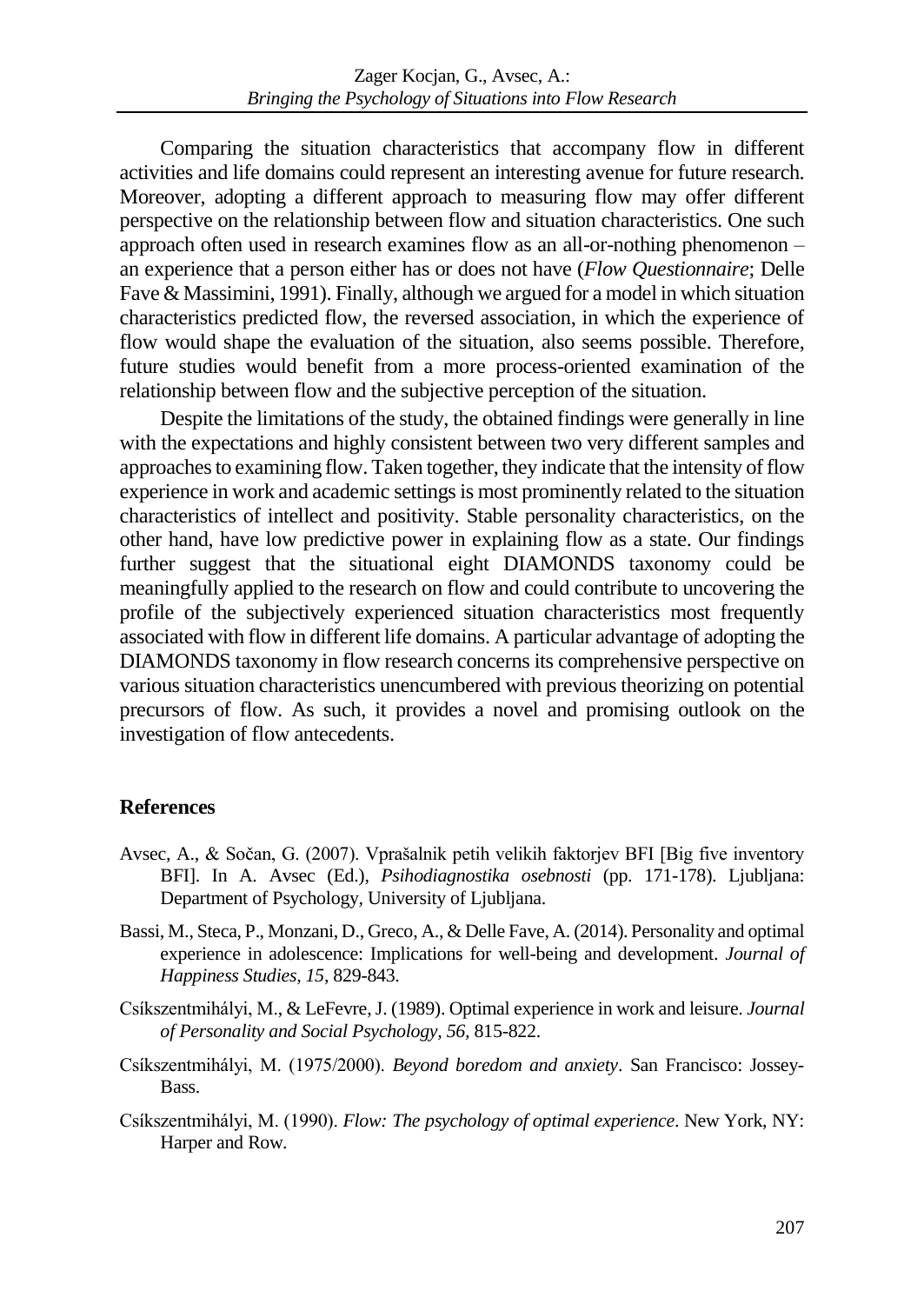Comparing the situation characteristics that accompany flow in different activities and life domains could represent an interesting avenue for future research. Moreover, adopting a different approach to measuring flow may offer different perspective on the relationship between flow and situation characteristics. One such approach often used in research examines flow as an all-or-nothing phenomenon – an experience that a person either has or does not have (*Flow Questionnaire*; Delle Fave & Massimini, 1991). Finally, although we argued for a model in which situation characteristics predicted flow, the reversed association, in which the experience of flow would shape the evaluation of the situation, also seems possible. Therefore, future studies would benefit from a more process-oriented examination of the relationship between flow and the subjective perception of the situation.

Despite the limitations of the study, the obtained findings were generally in line with the expectations and highly consistent between two very different samples and approaches to examining flow. Taken together, they indicate that the intensity of flow experience in work and academic settings is most prominently related to the situation characteristics of intellect and positivity. Stable personality characteristics, on the other hand, have low predictive power in explaining flow as a state. Our findings further suggest that the situational eight DIAMONDS taxonomy could be meaningfully applied to the research on flow and could contribute to uncovering the profile of the subjectively experienced situation characteristics most frequently associated with flow in different life domains. A particular advantage of adopting the DIAMONDS taxonomy in flow research concerns its comprehensive perspective on various situation characteristics unencumbered with previous theorizing on potential precursors of flow. As such, it provides a novel and promising outlook on the investigation of flow antecedents.

### **References**

- Avsec, A., & Sočan, G. (2007). Vprašalnik petih velikih faktorjev BFI [Big five inventory BFI]. In A. Avsec (Ed.), *Psihodiagnostika osebnosti* (pp. 171-178). Ljubljana: Department of Psychology, University of Ljubljana.
- Bassi, M., Steca, P., Monzani, D., Greco, A., & Delle Fave, A. (2014). Personality and optimal experience in adolescence: Implications for well-being and development. *Journal of Happiness Studies, 15*, 829-843.
- Csíkszentmihályi, M., & LeFevre, J. (1989). Optimal experience in work and leisure. *Journal of Personality and Social Psychology, 56,* 815-822.
- Csíkszentmihályi, M. (1975/2000). *Beyond boredom and anxiety*. San Francisco: Jossey-Bass.
- Csíkszentmihályi, M. (1990). *Flow: The psychology of optimal experience*. New York, NY: Harper and Row.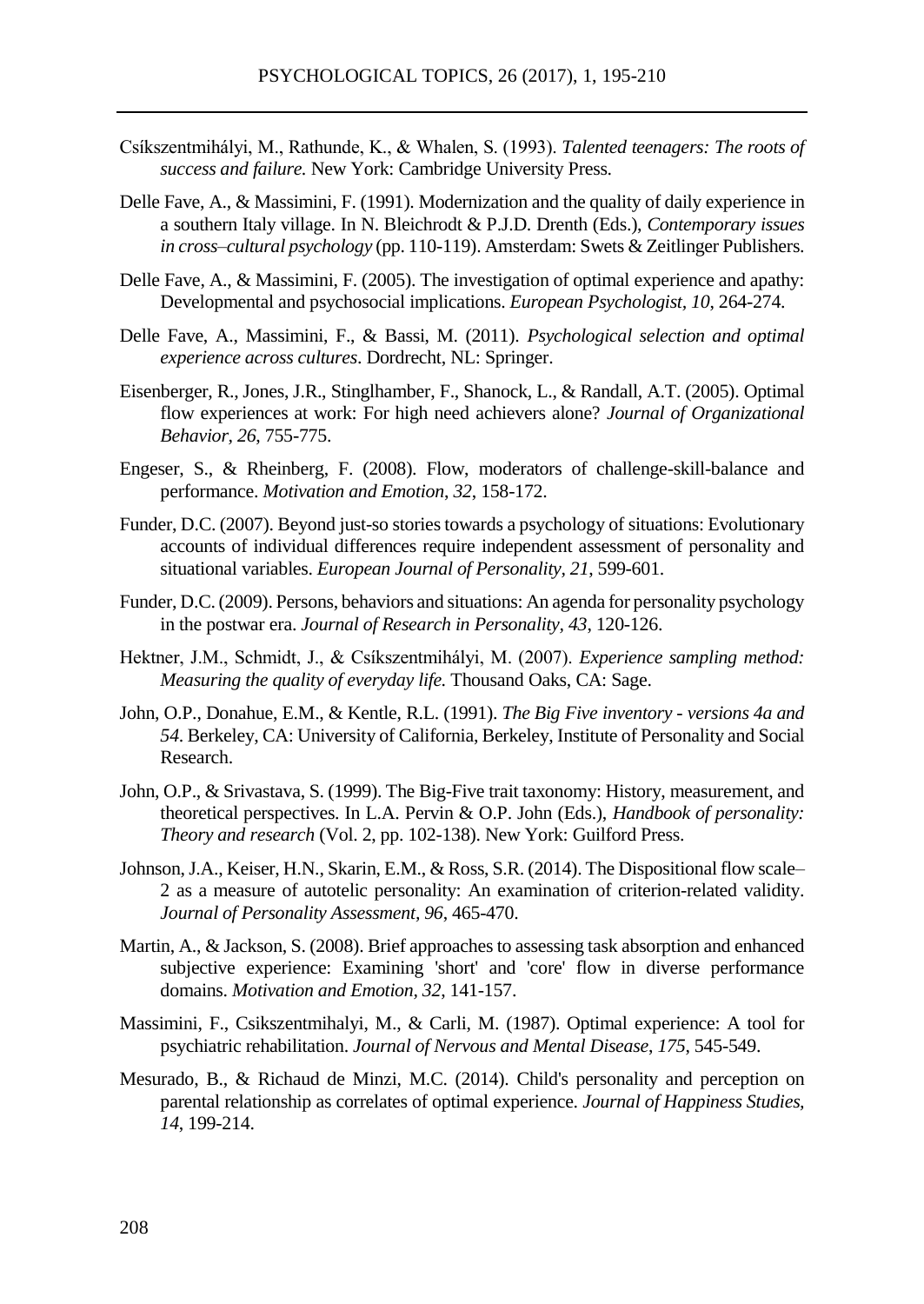- Csíkszentmihályi, M., Rathunde, K., & Whalen, S. (1993). *Talented teenagers: The roots of success and failure.* New York: Cambridge University Press.
- Delle Fave, A., & Massimini, F. (1991). Modernization and the quality of daily experience in a southern Italy village. In N. Bleichrodt & P.J.D. Drenth (Eds.), *Contemporary issues in cross–cultural psychology* (pp. 110-119). Amsterdam: Swets & Zeitlinger Publishers.
- Delle Fave, A., & Massimini, F. (2005). The investigation of optimal experience and apathy: Developmental and psychosocial implications. *European Psychologist, 10*, 264-274.
- Delle Fave, A., Massimini, F., & Bassi, M. (2011). *Psychological selection and optimal experience across cultures*. Dordrecht, NL: Springer.
- Eisenberger, R., Jones, J.R., Stinglhamber, F., Shanock, L., & Randall, A.T. (2005). Optimal flow experiences at work: For high need achievers alone? *Journal of Organizational Behavior, 26*, 755-775.
- Engeser, S., & Rheinberg, F. (2008). Flow, moderators of challenge-skill-balance and performance. *Motivation and Emotion*, *32*, 158-172.
- Funder, D.C. (2007). Beyond just-so stories towards a psychology of situations: Evolutionary accounts of individual differences require independent assessment of personality and situational variables. *European Journal of Personality, 21*, 599-601.
- Funder, D.C. (2009). Persons, behaviors and situations: An agenda for personality psychology in the postwar era. *Journal of Research in Personality, 43*, 120-126.
- Hektner, J.M., Schmidt, J., & Csíkszentmihályi, M. (2007). *Experience sampling method: Measuring the quality of everyday life.* Thousand Oaks, CA: Sage.
- John, O.P., Donahue, E.M., & Kentle, R.L. (1991). *The Big Five inventory - versions 4a and 54*. Berkeley, CA: University of California, Berkeley, Institute of Personality and Social Research.
- John, O.P., & Srivastava, S. (1999). The Big-Five trait taxonomy: History, measurement, and theoretical perspectives. In L.A. Pervin & O.P. John (Eds.), *Handbook of personality: Theory and research* (Vol. 2, pp. 102-138). New York: Guilford Press.
- Johnson, J.A., Keiser, H.N., Skarin, E.M., & Ross, S.R. (2014). The Dispositional flow scale– 2 as a measure of autotelic personality: An examination of criterion-related validity. *Journal of Personality Assessment, 96*, 465-470.
- Martin, A., & Jackson, S. (2008). Brief approaches to assessing task absorption and enhanced subjective experience: Examining 'short' and 'core' flow in diverse performance domains. *Motivation and Emotion, 32*, 141-157.
- Massimini, F., Csikszentmihalyi, M., & Carli, M. (1987). Optimal experience: A tool for psychiatric rehabilitation. *Journal of Nervous and Mental Disease*, *175*, 545-549.
- Mesurado, B., & Richaud de Minzi, M.C. (2014). Child's personality and perception on parental relationship as correlates of optimal experience. *Journal of Happiness Studies, 14*, 199-214.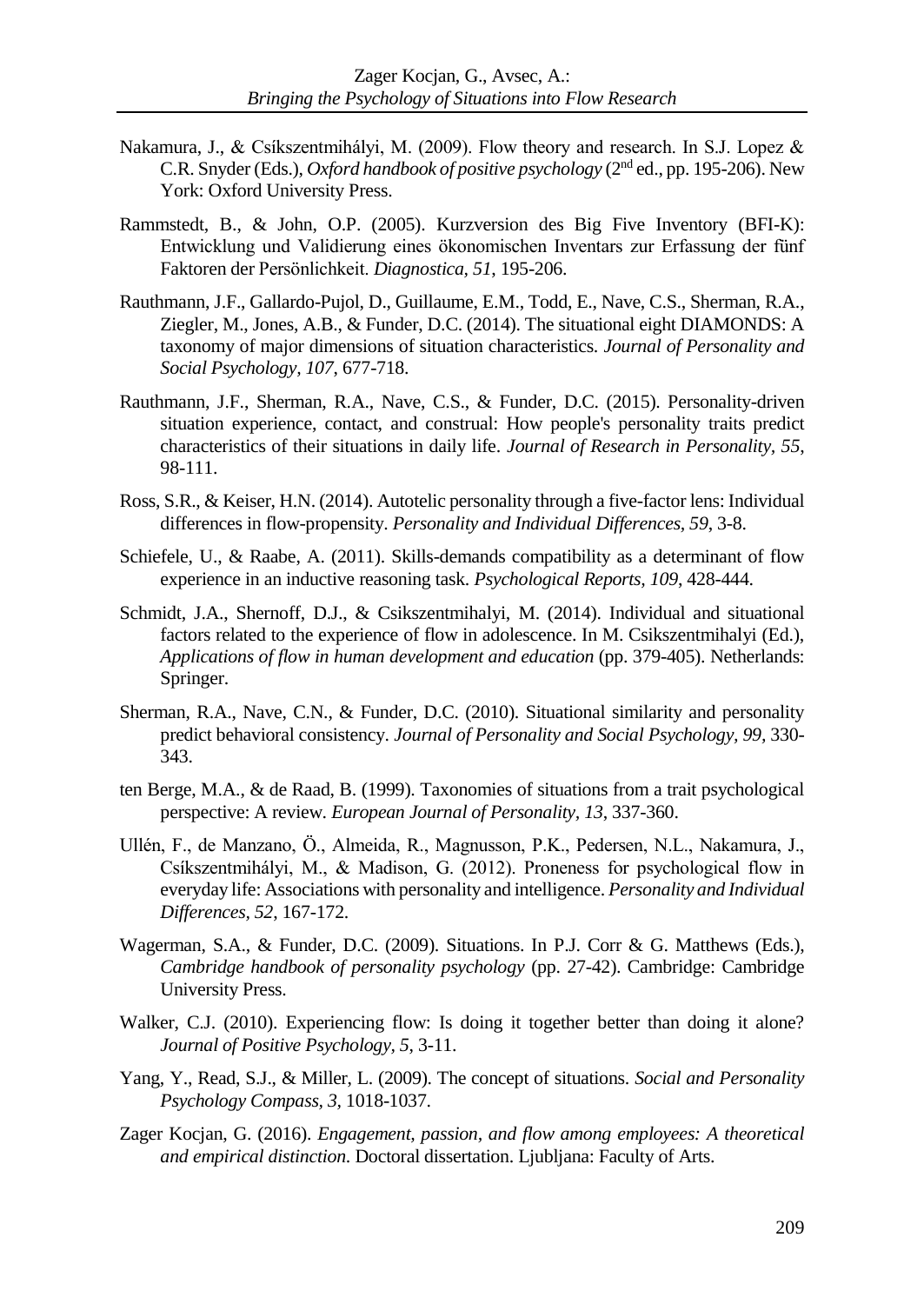- Nakamura, J., & Csíkszentmihályi, M. (2009). Flow theory and research. In S.J. Lopez & C.R. Snyder (Eds.), *Oxford handbook of positive psychology* (2nd ed., pp. 195-206). New York: Oxford University Press.
- Rammstedt, B., & John, O.P. (2005). Kurzversion des Big Five Inventory (BFI-K): Entwicklung und Validierung eines ökonomischen Inventars zur Erfassung der fünf Faktoren der Persönlichkeit. *Diagnostica, 51*, 195-206.
- Rauthmann, J.F., Gallardo-Pujol, D., Guillaume, E.M., Todd, E., Nave, C.S., Sherman, R.A., Ziegler, M., Jones, A.B., & Funder, D.C. (2014). The situational eight DIAMONDS: A taxonomy of major dimensions of situation characteristics. *Journal of Personality and Social Psychology, 107*, 677-718.
- Rauthmann, J.F., Sherman, R.A., Nave, C.S., & Funder, D.C. (2015). Personality-driven situation experience, contact, and construal: How people's personality traits predict characteristics of their situations in daily life. *Journal of Research in Personality, 55*, 98-111.
- Ross, S.R., & Keiser, H.N. (2014). Autotelic personality through a five-factor lens: Individual differences in flow-propensity. *Personality and Individual Differences, 59*, 3-8.
- Schiefele, U., & Raabe, A. (2011). Skills-demands compatibility as a determinant of flow experience in an inductive reasoning task. *Psychological Reports, 109*, 428-444.
- Schmidt, J.A., Shernoff, D.J., & Csikszentmihalyi, M. (2014). Individual and situational factors related to the experience of flow in adolescence. In M. Csikszentmihalyi (Ed.), *Applications of flow in human development and education* (pp. 379-405). Netherlands: Springer.
- Sherman, R.A., Nave, C.N., & Funder, D.C. (2010). Situational similarity and personality predict behavioral consistency. *Journal of Personality and Social Psychology, 99,* 330- 343.
- ten Berge, M.A., & de Raad, B. (1999). Taxonomies of situations from a trait psychological perspective: A review. *European Journal of Personality, 13*, 337-360.
- Ullén, F., de Manzano, Ö., Almeida, R., Magnusson, P.K., Pedersen, N.L., Nakamura, J., Csíkszentmihályi, M., & Madison, G. (2012). Proneness for psychological flow in everyday life: Associations with personality and intelligence. *Personality and Individual Differences, 52*, 167-172.
- Wagerman, S.A., & Funder, D.C. (2009). Situations. In P.J. Corr & G. Matthews (Eds.), *Cambridge handbook of personality psychology* (pp. 27-42). Cambridge: Cambridge University Press.
- Walker, C.J. (2010). Experiencing flow: Is doing it together better than doing it alone? *Journal of Positive Psychology, 5*, 3-11.
- Yang, Y., Read, S.J., & Miller, L. (2009). The concept of situations. *Social and Personality Psychology Compass, 3,* 1018-1037.
- Zager Kocjan, G. (2016). *Engagement, passion, and flow among employees: A theoretical and empirical distinction*. Doctoral dissertation. Ljubljana: Faculty of Arts.